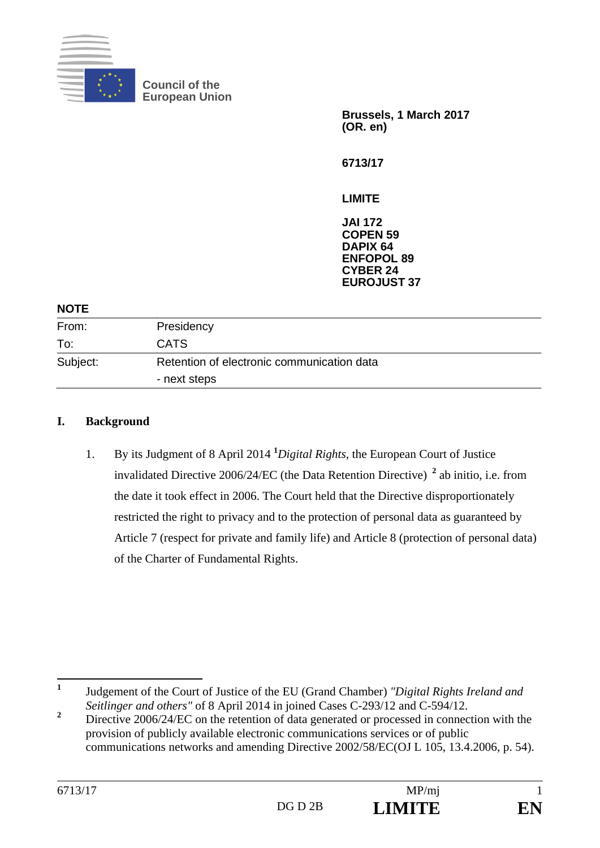

**Council of the European Union** 

**Brussels, 1 March 2017 (OR. en)** 

**6713/17** 

**LIMITE** 

**JAI 172 COPEN 59 DAPIX 64 ENFOPOL 89 CYBER 24 EUROJUST 37**

| Presidency                                                 |  |
|------------------------------------------------------------|--|
| <b>CATS</b>                                                |  |
| Retention of electronic communication data<br>- next steps |  |
|                                                            |  |

## **I. Background**

1. By its Judgment of 8 April 2014 **<sup>1</sup>** *Digital Rights*, the European Court of Justice invalidated Directive 2006/24/EC (the Data Retention Directive) **<sup>2</sup>** ab initio, i.e. from the date it took effect in 2006. The Court held that the Directive disproportionately restricted the right to privacy and to the protection of personal data as guaranteed by Article 7 (respect for private and family life) and Article 8 (protection of personal data) of the Charter of Fundamental Rights.

 **1** Judgement of the Court of Justice of the EU (Grand Chamber) *"Digital Rights Ireland and Seitlinger and others"* of 8 April 2014 in joined Cases C-293/12 and C-594/12.

**<sup>2</sup>** Directive 2006/24/EC on the retention of data generated or processed in connection with the provision of publicly available electronic communications services or of public communications networks and amending Directive 2002/58/EC(OJ L 105, 13.4.2006, p. 54).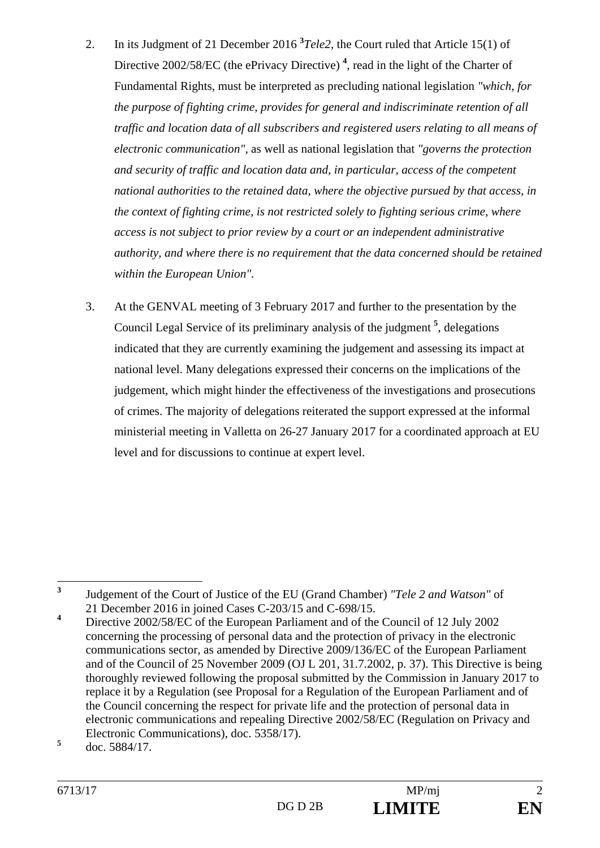- 2. In its Judgment of 21 December 2016 **<sup>3</sup>** *Tele2*, the Court ruled that Article 15(1) of Directive 2002/58/EC (the ePrivacy Directive)<sup>4</sup>, read in the light of the Charter of Fundamental Rights, must be interpreted as precluding national legislation *"which, for the purpose of fighting crime, provides for general and indiscriminate retention of all traffic and location data of all subscribers and registered users relating to all means of electronic communication",* as well as national legislation that *"governs the protection and security of traffic and location data and, in particular, access of the competent national authorities to the retained data, where the objective pursued by that access, in the context of fighting crime, is not restricted solely to fighting serious crime, where access is not subject to prior review by a court or an independent administrative authority, and where there is no requirement that the data concerned should be retained within the European Union".*
- 3. At the GENVAL meeting of 3 February 2017 and further to the presentation by the Council Legal Service of its preliminary analysis of the judgment **<sup>5</sup>** , delegations indicated that they are currently examining the judgement and assessing its impact at national level. Many delegations expressed their concerns on the implications of the judgement, which might hinder the effectiveness of the investigations and prosecutions of crimes. The majority of delegations reiterated the support expressed at the informal ministerial meeting in Valletta on 26-27 January 2017 for a coordinated approach at EU level and for discussions to continue at expert level.

 **3** Judgement of the Court of Justice of the EU (Grand Chamber) *"Tele 2 and Watson"* of 21 December 2016 in joined Cases C-203/15 and C-698/15.

**<sup>4</sup>** Directive 2002/58/EC of the European Parliament and of the Council of 12 July 2002 concerning the processing of personal data and the protection of privacy in the electronic communications sector, as amended by Directive 2009/136/EC of the European Parliament and of the Council of 25 November 2009 (OJ L 201, 31.7.2002, p. 37). This Directive is being thoroughly reviewed following the proposal submitted by the Commission in January 2017 to replace it by a Regulation (see Proposal for a Regulation of the European Parliament and of the Council concerning the respect for private life and the protection of personal data in electronic communications and repealing Directive 2002/58/EC (Regulation on Privacy and Electronic Communications), doc. 5358/17).

**<sup>5</sup>** doc. 5884/17.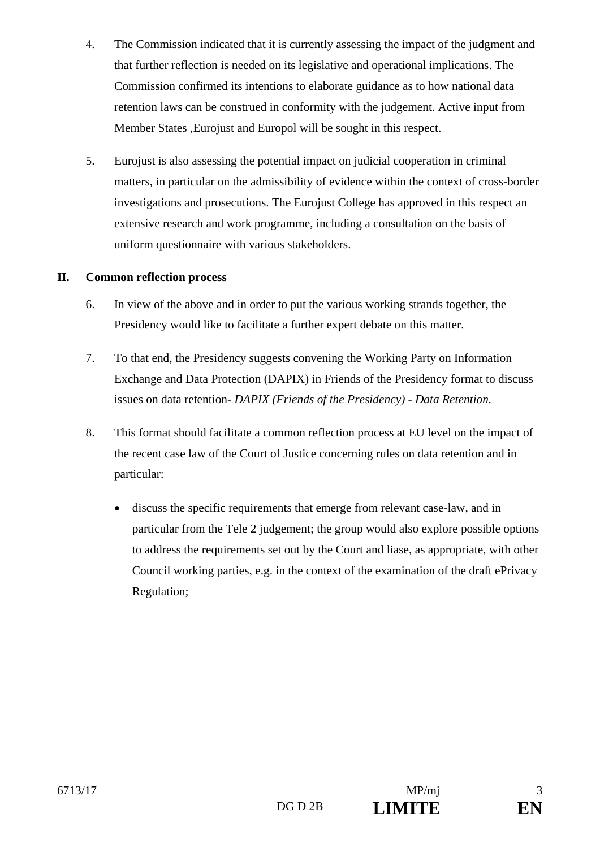- 4. The Commission indicated that it is currently assessing the impact of the judgment and that further reflection is needed on its legislative and operational implications. The Commission confirmed its intentions to elaborate guidance as to how national data retention laws can be construed in conformity with the judgement. Active input from Member States ,Eurojust and Europol will be sought in this respect.
- 5. Eurojust is also assessing the potential impact on judicial cooperation in criminal matters, in particular on the admissibility of evidence within the context of cross-border investigations and prosecutions. The Eurojust College has approved in this respect an extensive research and work programme, including a consultation on the basis of uniform questionnaire with various stakeholders.

## **II. Common reflection process**

- 6. In view of the above and in order to put the various working strands together, the Presidency would like to facilitate a further expert debate on this matter.
- 7. To that end, the Presidency suggests convening the Working Party on Information Exchange and Data Protection (DAPIX) in Friends of the Presidency format to discuss issues on data retention- *DAPIX (Friends of the Presidency) - Data Retention.*
- 8. This format should facilitate a common reflection process at EU level on the impact of the recent case law of the Court of Justice concerning rules on data retention and in particular:
	- discuss the specific requirements that emerge from relevant case-law, and in particular from the Tele 2 judgement; the group would also explore possible options to address the requirements set out by the Court and liase, as appropriate, with other Council working parties, e.g. in the context of the examination of the draft ePrivacy Regulation;